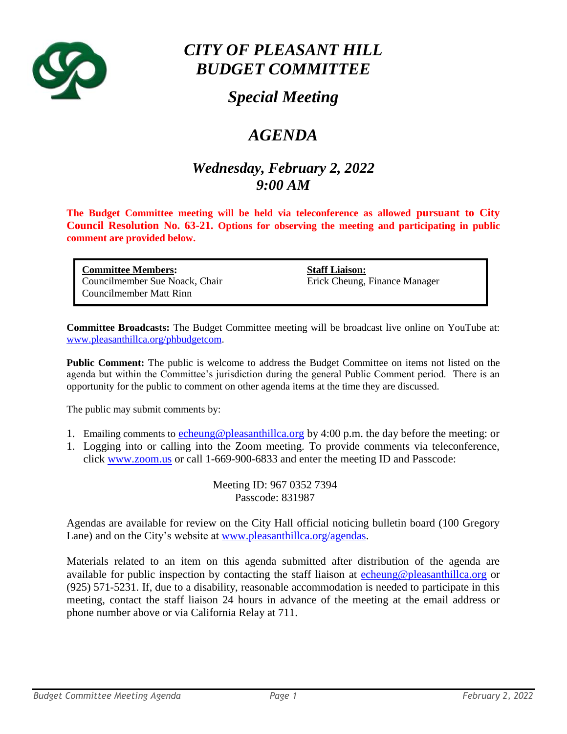

# *CITY OF PLEASANT HILL BUDGET COMMITTEE*

## *Special Meeting*

## *AGENDA*

### *Wednesday, February 2, 2022 9:00 AM*

**The Budget Committee meeting will be held via teleconference as allowed pursuant to City Council Resolution No. 63-21. Options for observing the meeting and participating in public comment are provided below.**

| <b>Committee Members:</b>      |
|--------------------------------|
| Councilmember Sue Noack, Chair |
| Councilmember Matt Rinn        |

**Staff Liaison:** Erick Cheung, Finance Manager

**Committee Broadcasts:** The Budget Committee meeting will be broadcast live online on YouTube at: [www.pleasanthillca.org/phbudgetcom.](http://www.pleasanthillca.org/phbudgetcom)

**Public Comment:** The public is welcome to address the Budget Committee on items not listed on the agenda but within the Committee's jurisdiction during the general Public Comment period. There is an opportunity for the public to comment on other agenda items at the time they are discussed.

The public may submit comments by:

- 1. Emailing comments to [echeung@pleasanthillca.org](mailto:echeung@pleasanthillca.org) by 4:00 p.m. the day before the meeting: or
- 1. Logging into or calling into the Zoom meeting. To provide comments via teleconference, click [www.zoom.us](http://www.zoom.us/) or call 1-669-900-6833 and enter the meeting ID and Passcode:

Meeting ID: 967 0352 7394 Passcode: 831987

Agendas are available for review on the City Hall official noticing bulletin board (100 Gregory Lane) and on the City's website at [www.pleasanthillca.org/agendas.](http://www.pleasanthillca.org/agendas)

Materials related to an item on this agenda submitted after distribution of the agenda are available for public inspection by contacting the staff liaison at [echeung@pleasanthillca.org](mailto:echeung@pleasanthillca.org) or (925) 571-5231. If, due to a disability, reasonable accommodation is needed to participate in this meeting, contact the staff liaison 24 hours in advance of the meeting at the email address or phone number above or via California Relay at 711.